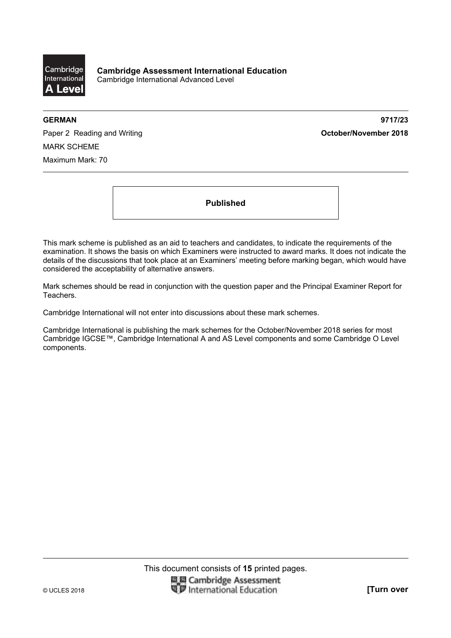

**GERMAN 9717/23** 

Paper 2 Reading and Writing **Contact Act and Act and Act and Act and Act and Act and Act of Paper 2018** MARK SCHEME Maximum Mark: 70

**Published** 

This mark scheme is published as an aid to teachers and candidates, to indicate the requirements of the examination. It shows the basis on which Examiners were instructed to award marks. It does not indicate the details of the discussions that took place at an Examiners' meeting before marking began, which would have considered the acceptability of alternative answers.

Mark schemes should be read in conjunction with the question paper and the Principal Examiner Report for Teachers.

Cambridge International will not enter into discussions about these mark schemes.

Cambridge International is publishing the mark schemes for the October/November 2018 series for most Cambridge IGCSE™, Cambridge International A and AS Level components and some Cambridge O Level components.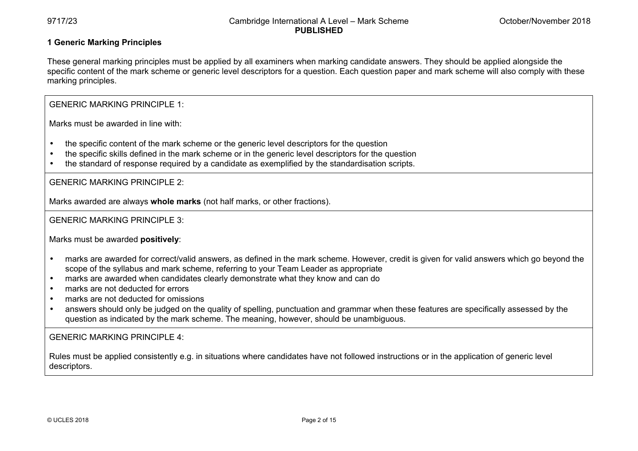# **1 Generic Marking Principles**

These general marking principles must be applied by all examiners when marking candidate answers. They should be applied alongside the specific content of the mark scheme or generic level descriptors for a question. Each question paper and mark scheme will also comply with these marking principles.

GENERIC MARKING PRINCIPLE 1:

Marks must be awarded in line with:

- the specific content of the mark scheme or the generic level descriptors for the question
- the specific skills defined in the mark scheme or in the generic level descriptors for the question
- the standard of response required by a candidate as exemplified by the standardisation scripts.

GENERIC MARKING PRINCIPLE 2:

Marks awarded are always **whole marks** (not half marks, or other fractions).

GENERIC MARKING PRINCIPLE 3:

Marks must be awarded **positively**:

- marks are awarded for correct/valid answers, as defined in the mark scheme. However, credit is given for valid answers which go beyond the scope of the syllabus and mark scheme, referring to your Team Leader as appropriate
- marks are awarded when candidates clearly demonstrate what they know and can do
- marks are not deducted for errors
- marks are not deducted for omissions
- answers should only be judged on the quality of spelling, punctuation and grammar when these features are specifically assessed by the question as indicated by the mark scheme. The meaning, however, should be unambiguous.

GENERIC MARKING PRINCIPLE 4:

Rules must be applied consistently e.g. in situations where candidates have not followed instructions or in the application of generic level descriptors.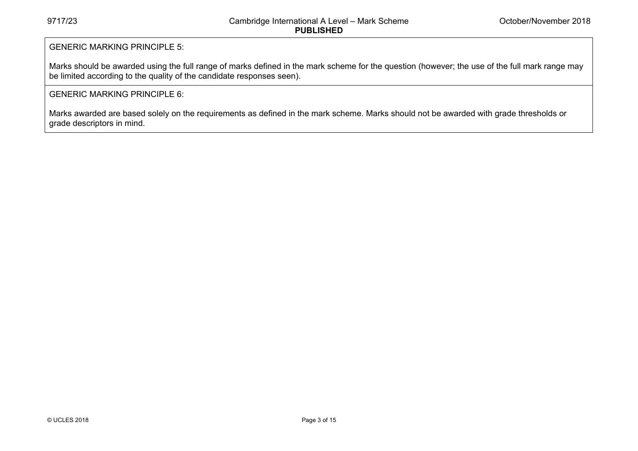# GENERIC MARKING PRINCIPLE 5:

Marks should be awarded using the full range of marks defined in the mark scheme for the question (however; the use of the full mark range may be limited according to the quality of the candidate responses seen).

# GENERIC MARKING PRINCIPLE 6:

Marks awarded are based solely on the requirements as defined in the mark scheme. Marks should not be awarded with grade thresholds or grade descriptors in mind.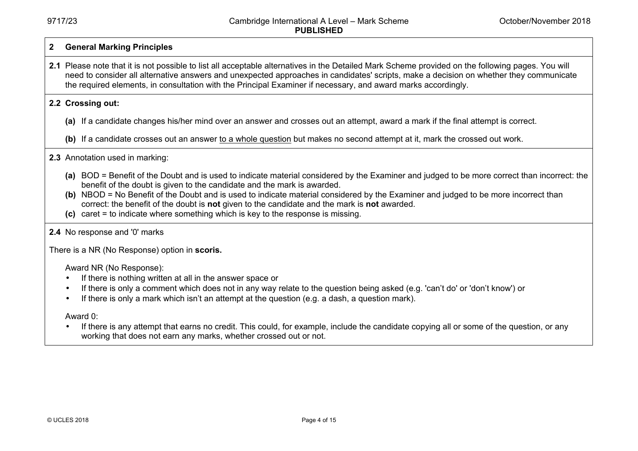#### **2 General Marking Principles**

**2.1** Please note that it is not possible to list all acceptable alternatives in the Detailed Mark Scheme provided on the following pages. You will need to consider all alternative answers and unexpected approaches in candidates' scripts, make a decision on whether they communicate the required elements, in consultation with the Principal Examiner if necessary, and award marks accordingly.

#### **2.2 Crossing out:**

- **(a)** If a candidate changes his/her mind over an answer and crosses out an attempt, award a mark if the final attempt is correct.
- (b) If a candidate crosses out an answer to a whole question but makes no second attempt at it, mark the crossed out work.

# **2.3** Annotation used in marking:

- **(a)** BOD = Benefit of the Doubt and is used to indicate material considered by the Examiner and judged to be more correct than incorrect: the benefit of the doubt is given to the candidate and the mark is awarded.
- **(b)** NBOD = No Benefit of the Doubt and is used to indicate material considered by the Examiner and judged to be more incorrect than correct: the benefit of the doubt is **not** given to the candidate and the mark is **not** awarded.
- **(c)** caret = to indicate where something which is key to the response is missing.

# **2.4** No response and '0' marks

There is a NR (No Response) option in **scoris.** 

Award NR (No Response):

- If there is nothing written at all in the answer space or
- If there is only a comment which does not in any way relate to the question being asked (e.g. 'can't do' or 'don't know') or
- If there is only a mark which isn't an attempt at the question (e.g. a dash, a question mark).

Award 0:

• If there is any attempt that earns no credit. This could, for example, include the candidate copying all or some of the question, or any working that does not earn any marks, whether crossed out or not.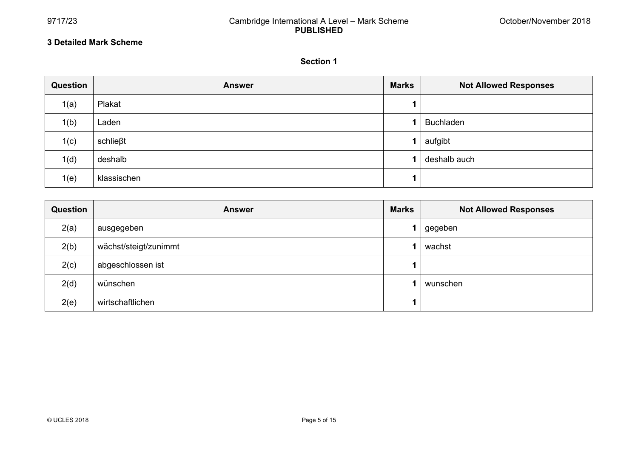#### **3 Detailed Mark Scheme**

#### **Section 1**

<u> Terminal de la componentación de la componentación de la componentación de la componentación de la componenta</u>

| Question | <b>Answer</b>   | <b>Marks</b> | <b>Not Allowed Responses</b> |
|----------|-----------------|--------------|------------------------------|
| 1(a)     | Plakat          |              |                              |
| 1(b)     | Laden           |              | <b>Buchladen</b>             |
| 1(c)     | $schlie\beta t$ |              | aufgibt                      |
| 1(d)     | deshalb         |              | deshalb auch                 |
| 1(e)     | klassischen     |              |                              |

| Question | <b>Answer</b>         | <b>Marks</b> | <b>Not Allowed Responses</b> |
|----------|-----------------------|--------------|------------------------------|
| 2(a)     | ausgegeben            |              | gegeben                      |
| 2(b)     | wächst/steigt/zunimmt |              | wachst                       |
| 2(c)     | abgeschlossen ist     |              |                              |
| 2(d)     | wünschen              |              | wunschen                     |
| 2(e)     | wirtschaftlichen      |              |                              |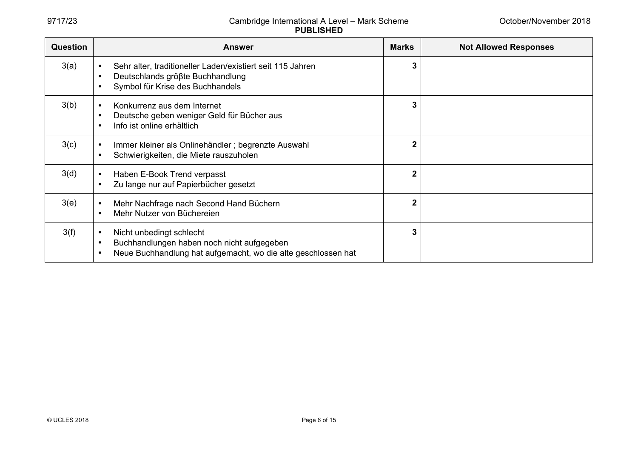| Question | <b>Answer</b>                                                                                                                                                                  | <b>Marks</b>   | <b>Not Allowed Responses</b> |
|----------|--------------------------------------------------------------------------------------------------------------------------------------------------------------------------------|----------------|------------------------------|
| 3(a)     | Sehr alter, traditioneller Laden/existiert seit 115 Jahren<br>Deutschlands größte Buchhandlung<br>$\bullet$<br>Symbol für Krise des Buchhandels                                | $\mathbf{3}$   |                              |
| 3(b)     | Konkurrenz aus dem Internet<br>$\bullet$<br>Deutsche geben weniger Geld für Bücher aus<br>$\bullet$<br>Info ist online erhältlich<br>$\bullet$                                 | $\mathbf{3}$   |                              |
| 3(c)     | Immer kleiner als Onlinehändler; begrenzte Auswahl<br>Schwierigkeiten, die Miete rauszuholen                                                                                   | $\overline{2}$ |                              |
| 3(d)     | Haben E-Book Trend verpasst<br>Zu lange nur auf Papierbücher gesetzt                                                                                                           | $\overline{2}$ |                              |
| 3(e)     | Mehr Nachfrage nach Second Hand Büchern<br>Mehr Nutzer von Büchereien<br>$\bullet$                                                                                             | $\overline{2}$ |                              |
| 3(f)     | Nicht unbedingt schlecht<br>$\bullet$<br>Buchhandlungen haben noch nicht aufgegeben<br>$\bullet$<br>Neue Buchhandlung hat aufgemacht, wo die alte geschlossen hat<br>$\bullet$ | 3              |                              |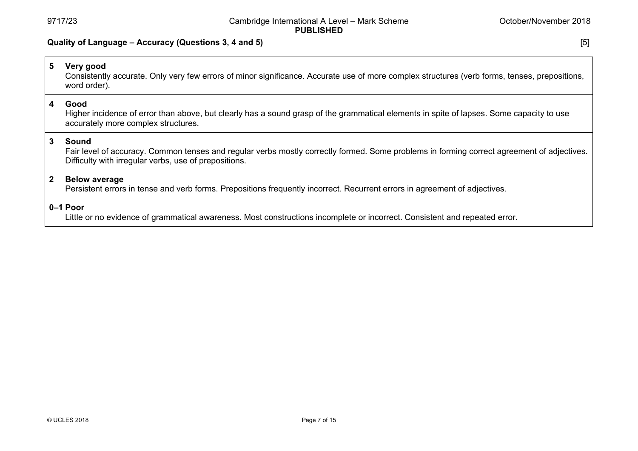# **Quality of Language – Accuracy (Questions 3, 4 and 5)** [5]

| $5\overline{)}$ | Very good<br>Consistently accurate. Only very few errors of minor significance. Accurate use of more complex structures (verb forms, tenses, prepositions,<br>word order).                                   |  |  |
|-----------------|--------------------------------------------------------------------------------------------------------------------------------------------------------------------------------------------------------------|--|--|
| 4               | Good<br>Higher incidence of error than above, but clearly has a sound grasp of the grammatical elements in spite of lapses. Some capacity to use<br>accurately more complex structures.                      |  |  |
| 3               | Sound<br>Fair level of accuracy. Common tenses and regular verbs mostly correctly formed. Some problems in forming correct agreement of adjectives.<br>Difficulty with irregular verbs, use of prepositions. |  |  |
| $\mathbf{2}$    | <b>Below average</b><br>Persistent errors in tense and verb forms. Prepositions frequently incorrect. Recurrent errors in agreement of adjectives.                                                           |  |  |
|                 | 0-1 Poor<br>Little or no evidence of grammatical awareness. Most constructions incomplete or incorrect. Consistent and repeated error.                                                                       |  |  |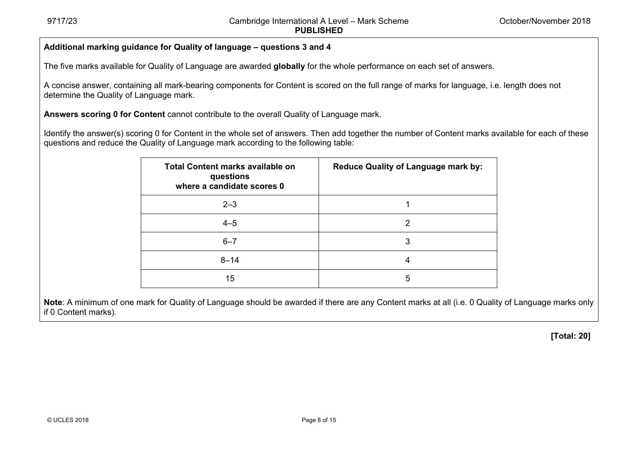# **Additional marking guidance for Quality of language – questions 3 and 4**

The five marks available for Quality of Language are awarded **globally** for the whole performance on each set of answers.

A concise answer, containing all mark-bearing components for Content is scored on the full range of marks for language, i.e. length does not determine the Quality of Language mark.

**Answers scoring 0 for Content** cannot contribute to the overall Quality of Language mark.

Identify the answer(s) scoring 0 for Content in the whole set of answers. Then add together the number of Content marks available for each of these questions and reduce the Quality of Language mark according to the following table:

| <b>Total Content marks available on</b><br>questions<br>where a candidate scores 0 | <b>Reduce Quality of Language mark by:</b> |
|------------------------------------------------------------------------------------|--------------------------------------------|
| $2 - 3$                                                                            |                                            |
| $4 - 5$                                                                            | 2                                          |
| $6 - 7$                                                                            | 3                                          |
| $8 - 14$                                                                           | 4                                          |
| 15                                                                                 | 5                                          |

**Note**: A minimum of one mark for Quality of Language should be awarded if there are any Content marks at all (i.e. 0 Quality of Language marks only if 0 Content marks).

**[Total: 20]**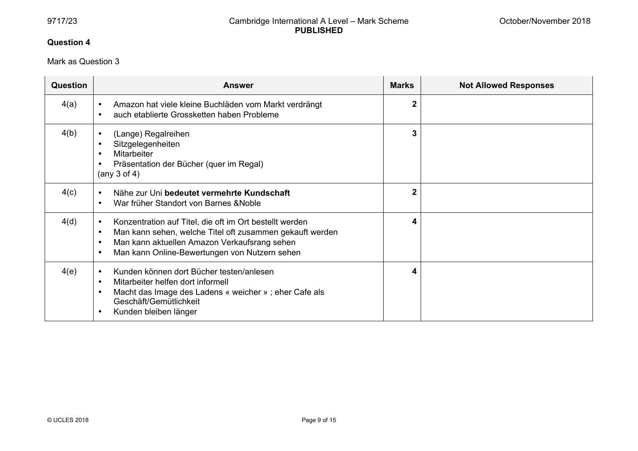# **Question 4**

# Mark as Question 3

| <b>Question</b> | <b>Answer</b>                                                                                                                                                                                                                                                            | <b>Marks</b>   | <b>Not Allowed Responses</b> |
|-----------------|--------------------------------------------------------------------------------------------------------------------------------------------------------------------------------------------------------------------------------------------------------------------------|----------------|------------------------------|
| 4(a)            | Amazon hat viele kleine Buchläden vom Markt verdrängt<br>auch etablierte Grossketten haben Probleme<br>$\bullet$                                                                                                                                                         | $\overline{2}$ |                              |
| 4(b)            | (Lange) Regalreihen<br>$\bullet$<br>Sitzgelegenheiten<br>$\bullet$<br><b>Mitarbeiter</b><br>$\bullet$<br>Präsentation der Bücher (quer im Regal)<br>$\bullet$<br>(any $3$ of $4$ )                                                                                       | 3              |                              |
| 4(c)            | Nähe zur Uni bedeutet vermehrte Kundschaft<br>$\bullet$<br>War früher Standort von Barnes & Noble<br>$\bullet$                                                                                                                                                           | $\overline{2}$ |                              |
| 4(d)            | Konzentration auf Titel, die oft im Ort bestellt werden<br>$\bullet$<br>Man kann sehen, welche Titel oft zusammen gekauft werden<br>$\bullet$<br>Man kann aktuellen Amazon Verkaufsrang sehen<br>$\bullet$<br>Man kann Online-Bewertungen von Nutzern sehen<br>$\bullet$ | 4              |                              |
| 4(e)            | Kunden können dort Bücher testen/anlesen<br>$\bullet$<br>Mitarbeiter helfen dort informell<br>$\bullet$<br>Macht das Image des Ladens « weicher » ; eher Cafe als<br>$\bullet$<br>Geschäft/Gemütlichkeit<br>Kunden bleiben länger<br>$\bullet$                           | 4              |                              |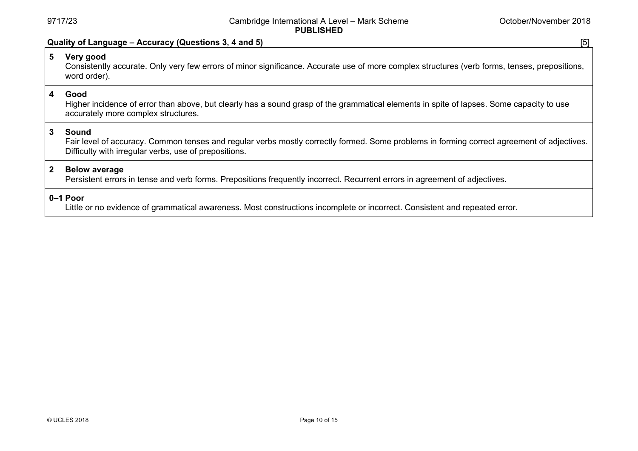#### **Quality of Language – Accuracy (Questions 3, 4 and 5)** [5]

# **5 Very good**

Consistently accurate. Only very few errors of minor significance. Accurate use of more complex structures (verb forms, tenses, prepositions, word order).

# **4 Good**

Higher incidence of error than above, but clearly has a sound grasp of the grammatical elements in spite of lapses. Some capacity to use accurately more complex structures.

# **3 Sound**

Fair level of accuracy. Common tenses and regular verbs mostly correctly formed. Some problems in forming correct agreement of adjectives. Difficulty with irregular verbs, use of prepositions.

# **2 Below average**

Persistent errors in tense and verb forms. Prepositions frequently incorrect. Recurrent errors in agreement of adjectives.

#### **0–1 Poor**

Little or no evidence of grammatical awareness. Most constructions incomplete or incorrect. Consistent and repeated error.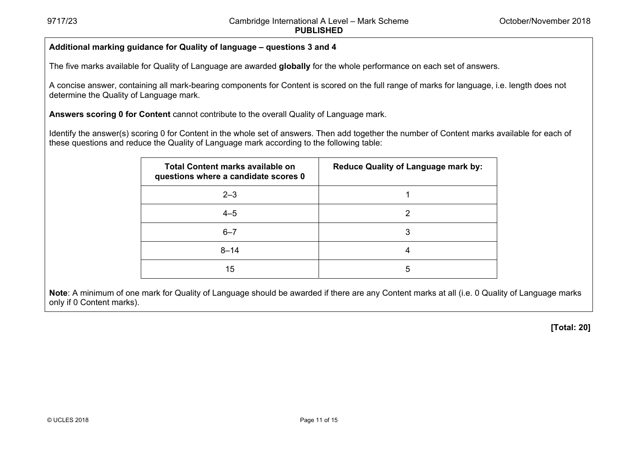# **Additional marking guidance for Quality of language – questions 3 and 4**

The five marks available for Quality of Language are awarded **globally** for the whole performance on each set of answers.

A concise answer, containing all mark-bearing components for Content is scored on the full range of marks for language, i.e. length does not determine the Quality of Language mark.

**Answers scoring 0 for Content** cannot contribute to the overall Quality of Language mark.

Identify the answer(s) scoring 0 for Content in the whole set of answers. Then add together the number of Content marks available for each of these questions and reduce the Quality of Language mark according to the following table:

| Total Content marks available on<br>questions where a candidate scores 0 | <b>Reduce Quality of Language mark by:</b> |
|--------------------------------------------------------------------------|--------------------------------------------|
| $2 - 3$                                                                  |                                            |
| $4 - 5$                                                                  | 2                                          |
| $6 - 7$                                                                  | 3                                          |
| $8 - 14$                                                                 | 4                                          |
| 15                                                                       | 5                                          |

**Note**: A minimum of one mark for Quality of Language should be awarded if there are any Content marks at all (i.e. 0 Quality of Language marks only if 0 Content marks).

 **[Total: 20]**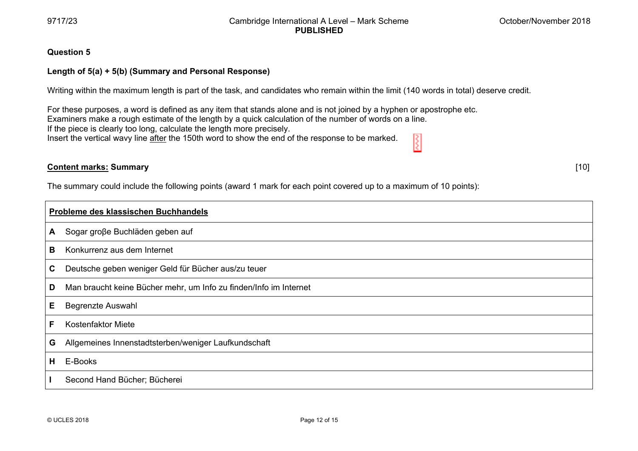[ 10]

#### **Qu uestion 5**

#### **Len ngth of 5(a) + 5 5(b) (Summary a and Personal R Response)**

Writing within the maximum length is part of the task, and candidates who remain within the limit (140 words in total) deserve credit.

For these purposes, a word is defined as any item that stands alone and is not joined by a hyphen or apostrophe etc. Examiners make a rough estimate of the length by a quick calculation of the number of words on a line. If the piece is clearly too long, calculate the length more precisely. R Insert the vertical wavy line <u>after</u> the 150th word to show the end of the response to be marked.

# **Co ontent marks: S Summary**

The summary could include the following points (award 1 mark for each point covered up to a maximum of 10 points):

| Probleme des klassischen Buchhandels |                                                                   |  |
|--------------------------------------|-------------------------------------------------------------------|--|
| A                                    | Sogar große Buchläden geben auf                                   |  |
| В                                    | Konkurrenz aus dem Internet                                       |  |
| C                                    | Deutsche geben weniger Geld für Bücher aus/zu teuer               |  |
| D                                    | Man braucht keine Bücher mehr, um Info zu finden/Info im Internet |  |
| Е                                    | <b>Begrenzte Auswahl</b>                                          |  |
| F                                    | <b>Kostenfaktor Miete</b>                                         |  |
| G                                    | Allgemeines Innenstadtsterben/weniger Laufkundschaft              |  |
| H.                                   | E-Books                                                           |  |
|                                      | Second Hand Bücher; Bücherei                                      |  |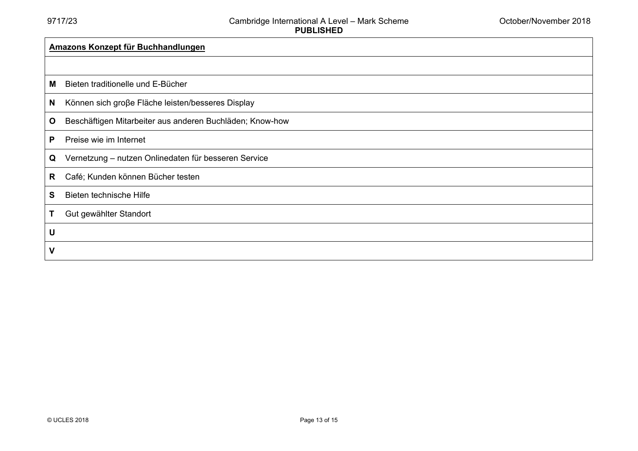| <b>Amazons Konzept für Buchhandlungen</b> |                                                          |  |
|-------------------------------------------|----------------------------------------------------------|--|
|                                           |                                                          |  |
| М                                         | Bieten traditionelle und E-Bücher                        |  |
| N                                         | Können sich große Fläche leisten/besseres Display        |  |
| $\mathbf{o}$                              | Beschäftigen Mitarbeiter aus anderen Buchläden; Know-how |  |
| P                                         | Preise wie im Internet                                   |  |
| Q                                         | Vernetzung - nutzen Onlinedaten für besseren Service     |  |
| R                                         | Café; Kunden können Bücher testen                        |  |
| S                                         | Bieten technische Hilfe                                  |  |
| Τ                                         | Gut gewählter Standort                                   |  |
| U                                         |                                                          |  |
| $\mathsf{V}$                              |                                                          |  |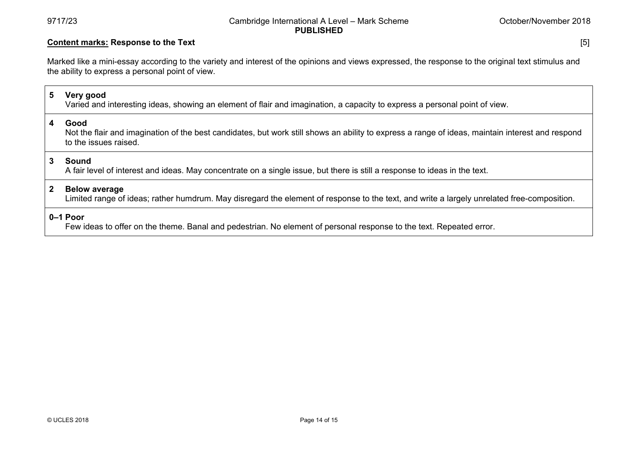# **Content marks: Response to the Text** [5]

Marked like a mini-essay according to the variety and interest of the opinions and views expressed, the response to the original text stimulus and the ability to express a personal point of view.

# **5 Very good**

Varied and interesting ideas, showing an element of flair and imagination, a capacity to express a personal point of view.

#### **4 Good**

Not the flair and imagination of the best candidates, but work still shows an ability to express a range of ideas, maintain interest and respond to the issues raised.

#### **3 Sound**

A fair level of interest and ideas. May concentrate on a single issue, but there is still a response to ideas in the text.

#### **2 Below average**

Limited range of ideas; rather humdrum. May disregard the element of response to the text, and write a largely unrelated free-composition.

# **0–1 Poor**

Few ideas to offer on the theme. Banal and pedestrian. No element of personal response to the text. Repeated error.